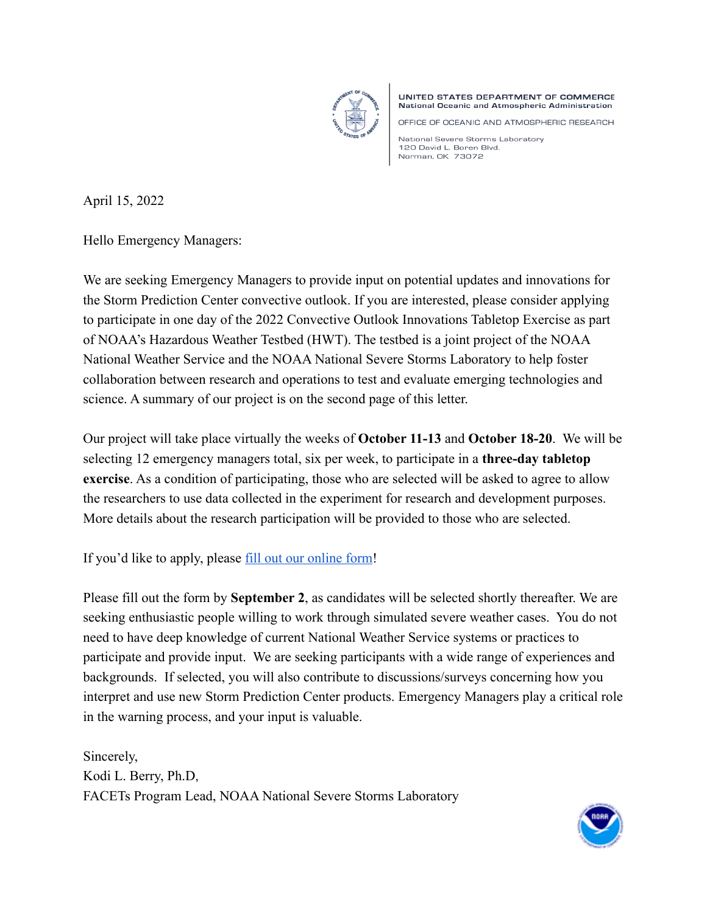

UNITED STATES DEPARTMENT OF COMMERCE National Oceanic and Atmospheric Administration

OFFICE OF OCEANIC AND ATMOSPHERIC RESEARCH

National Severe Storms Laboratory 120 David L. Boren Blvd. Norman, OK 73072

April 15, 2022

Hello Emergency Managers:

We are seeking Emergency Managers to provide input on potential updates and innovations for the Storm Prediction Center convective outlook. If you are interested, please consider applying to participate in one day of the 2022 Convective Outlook Innovations Tabletop Exercise as part of NOAA's Hazardous Weather Testbed (HWT). The testbed is a joint project of the NOAA National Weather Service and the NOAA National Severe Storms Laboratory to help foster collaboration between research and operations to test and evaluate emerging technologies and science. A summary of our project is on the second page of this letter.

Our project will take place virtually the weeks of **October 11-13** and **October 18-20**. We will be selecting 12 emergency managers total, six per week, to participate in a **three-day tabletop exercise**. As a condition of participating, those who are selected will be asked to agree to allow the researchers to use data collected in the experiment for research and development purposes. More details about the research participation will be provided to those who are selected.

If you'd like to apply, please [fill out our online form!](https://docs.google.com/forms/d/e/1FAIpQLSc68MjOpIfOjkD-NshkOoiftbRZNl2k7yCg9mtmH33KH6nAyA/viewform?usp=sf_link)

Please fill out the form by **September 2**, as candidates will be selected shortly thereafter. We are seeking enthusiastic people willing to work through simulated severe weather cases. You do not need to have deep knowledge of current National Weather Service systems or practices to participate and provide input. We are seeking participants with a wide range of experiences and backgrounds. If selected, you will also contribute to discussions/surveys concerning how you interpret and use new Storm Prediction Center products. Emergency Managers play a critical role in the warning process, and your input is valuable.

Sincerely, Kodi L. Berry, Ph.D, FACETs Program Lead, NOAA National Severe Storms Laboratory